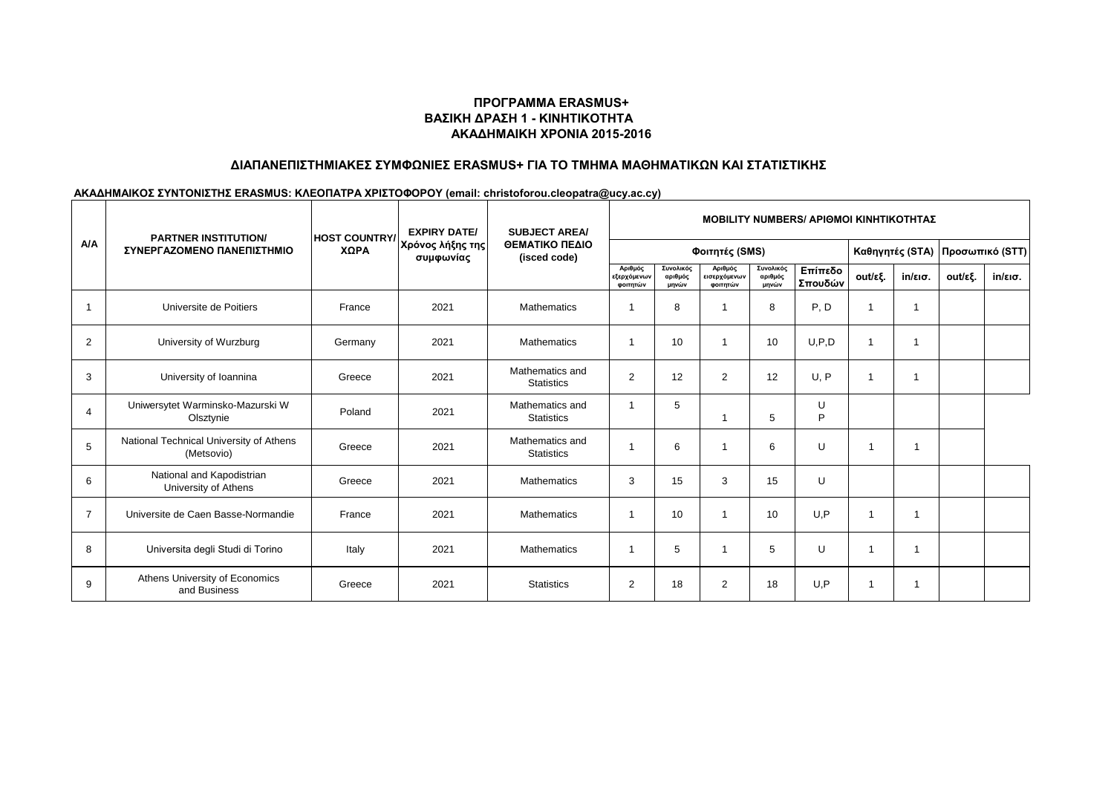# **ΑΚΑΔΗΜΑΙΚΗ ΧΡΟΝΙΑ 2015-2016 ΒΑΣΙΚΗ ΔΡΑΣΗ 1 - ΚΙΝΗΤΙΚΟΤΗΤΑ ΠΡΟΓΡΑΜΜΑ ERASMUS+**

## **ΔΙΑΠΑΝΕΠΙΣΤΗΜΙΑΚΕΣ ΣΥΜΦΩΝΙΕΣ ERASMUS+ ΓΙΑ ΤΟ ΤΜΗΜΑ ΜΑΘΗΜΑΤΙΚΩΝ ΚΑΙ ΣΤΑΤΙΣΤΙΚΗΣ**

#### **ΑΚΑΔΗΜΑΙΚΟΣ ΣΥΝΤΟΝΙΣΤΗΣ ERASMUS: ΚΛΕΟΠΑΤΡΑ ΧΡΙΣΤΟΦΟΡΟΥ (email: christoforou.cleopatra@ucy.ac.cy)**

| A/A            | <b>PARTNER INSTITUTION/</b><br>ΣΥΝΕΡΓΑΖΟΜΕΝΟ ΠΑΝΕΠΙΣΤΗΜΙΟ | <b>HOST COUNTRY/</b><br>ΧΩΡΑ | <b>EXPIRY DATE/</b><br>Χρόνος λήξης της<br>συμφωνίας | <b>SUBJECT AREA/</b><br>ΘΕΜΑΤΙΚΟ ΠΕΔΙΟ<br>(isced code) | <b>MOBILITY NUMBERS/ APIOMOI KINHTIKOTHTAZ</b> |                               |                                     |                               |                    |                          |                   |                                 |                   |  |
|----------------|-----------------------------------------------------------|------------------------------|------------------------------------------------------|--------------------------------------------------------|------------------------------------------------|-------------------------------|-------------------------------------|-------------------------------|--------------------|--------------------------|-------------------|---------------------------------|-------------------|--|
|                |                                                           |                              |                                                      |                                                        | Φοιτητές (SMS)                                 |                               |                                     |                               |                    |                          |                   | Καθηγητές (STA) Προσωπικό (STT) |                   |  |
|                |                                                           |                              |                                                      |                                                        | Αριθμός<br>εξερχόμενων<br>φοιτητών             | Συνολικός<br>αριθμός<br>μηνών | Αριθμός<br>εισερχόμενων<br>φοιτητών | Συνολικός<br>αριθμός<br>μηνών | Επίπεδο<br>Σπουδών | out/εξ.                  | $in/\epsilon$ ισ. | out/εξ.                         | $in/\epsilon$ ισ. |  |
| -1             | Universite de Poitiers                                    | France                       | 2021                                                 | <b>Mathematics</b>                                     | -1                                             | 8                             |                                     | 8                             | P, D               | $\overline{\phantom{a}}$ |                   |                                 |                   |  |
| 2              | University of Wurzburg                                    | Germany                      | 2021                                                 | Mathematics                                            | $\overline{1}$                                 | 10                            |                                     | 10                            | U.P.D              | $\overline{\phantom{a}}$ |                   |                                 |                   |  |
| 3              | University of Ioannina                                    | Greece                       | 2021                                                 | Mathematics and<br><b>Statistics</b>                   | 2                                              | 12                            | 2                                   | 12                            | U, P               |                          |                   |                                 |                   |  |
| $\overline{4}$ | Uniwersytet Warminsko-Mazurski W<br>Olsztynie             | Poland                       | 2021                                                 | Mathematics and<br><b>Statistics</b>                   | -1                                             | 5                             |                                     | 5                             | U<br>P             |                          |                   |                                 |                   |  |
| 5              | National Technical University of Athens<br>(Metsovio)     | Greece                       | 2021                                                 | Mathematics and<br><b>Statistics</b>                   | $\overline{\phantom{a}}$                       | 6                             |                                     | 6                             | U                  | -1                       |                   |                                 |                   |  |
| 6              | National and Kapodistrian<br>University of Athens         | Greece                       | 2021                                                 | Mathematics                                            | 3                                              | 15                            | 3                                   | 15                            | U                  |                          |                   |                                 |                   |  |
| $\overline{7}$ | Universite de Caen Basse-Normandie                        | France                       | 2021                                                 | <b>Mathematics</b>                                     | -1                                             | 10                            |                                     | 10                            | U, P               |                          |                   |                                 |                   |  |
| 8              | Universita degli Studi di Torino                          | Italy                        | 2021                                                 | <b>Mathematics</b>                                     | $\overline{\mathbf{1}}$                        | 5                             |                                     | 5                             | U                  |                          |                   |                                 |                   |  |
| 9              | Athens University of Economics<br>and Business            | Greece                       | 2021                                                 | <b>Statistics</b>                                      | 2                                              | 18                            | 2                                   | 18                            | U, P               | 1                        |                   |                                 |                   |  |